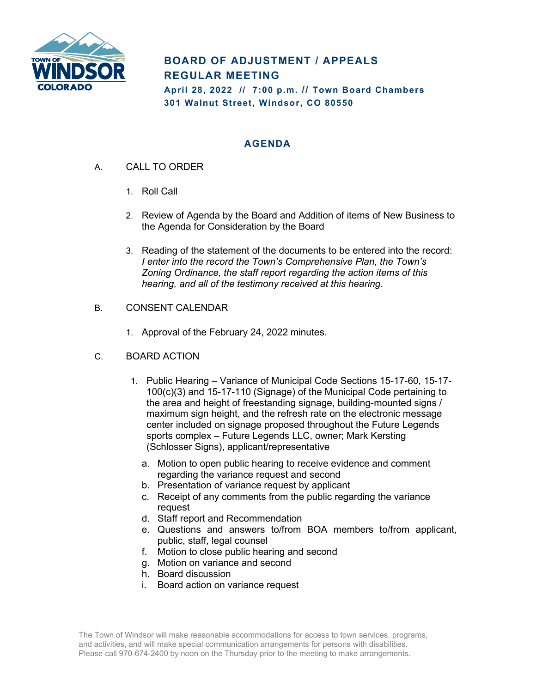

## **BOARD OF ADJUSTMENT / APPEALS REGULAR MEETING**

**April 28, 2022 // 7:00 p.m. // Town Board Chambers 301 Walnut Street, Windsor, CO 80550**

## **AGENDA**

- A. CALL TO ORDER
	- 1. Roll Call
	- 2. Review of Agenda by the Board and Addition of items of New Business to the Agenda for Consideration by the Board
	- 3. Reading of the statement of the documents to be entered into the record: *I enter into the record the Town's Comprehensive Plan, the Town's Zoning Ordinance, the staff report regarding the action items of this hearing, and all of the testimony received at this hearing.*
- B. CONSENT CALENDAR
	- 1. Approval of the February 24, 2022 minutes.
- C. BOARD ACTION
	- 1. Public Hearing Variance of Municipal Code Sections 15-17-60, 15-17- 100(c)(3) and 15-17-110 (Signage) of the Municipal Code pertaining to the area and height of freestanding signage, building-mounted signs / maximum sign height, and the refresh rate on the electronic message center included on signage proposed throughout the Future Legends sports complex – Future Legends LLC, owner; Mark Kersting (Schlosser Signs), applicant/representative
		- a. Motion to open public hearing to receive evidence and comment regarding the variance request and second
		- b. Presentation of variance request by applicant
		- c. Receipt of any comments from the public regarding the variance request
		- d. Staff report and Recommendation
		- e. Questions and answers to/from BOA members to/from applicant, public, staff, legal counsel
		- f. Motion to close public hearing and second
		- g. Motion on variance and second
		- h. Board discussion
		- i. Board action on variance request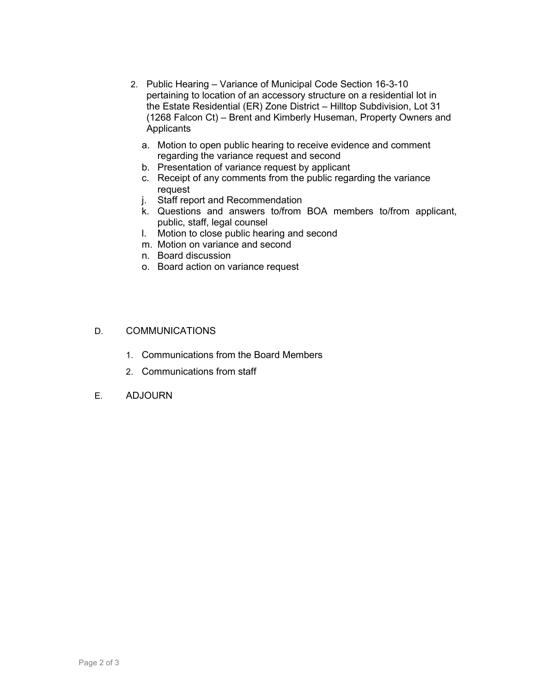- 2. Public Hearing Variance of Municipal Code Section 16-3-10 pertaining to location of an accessory structure on a residential lot in the Estate Residential (ER) Zone District – Hilltop Subdivision, Lot 31 (1268 Falcon Ct) – Brent and Kimberly Huseman, Property Owners and **Applicants** 
	- a. Motion to open public hearing to receive evidence and comment regarding the variance request and second
	- b. Presentation of variance request by applicant
	- c. Receipt of any comments from the public regarding the variance request
	- j. Staff report and Recommendation
	- k. Questions and answers to/from BOA members to/from applicant, public, staff, legal counsel
	- l. Motion to close public hearing and second
	- m. Motion on variance and second
	- n. Board discussion
	- o. Board action on variance request

## D. COMMUNICATIONS

- 1. Communications from the Board Members
- 2. Communications from staff
- E. ADJOURN